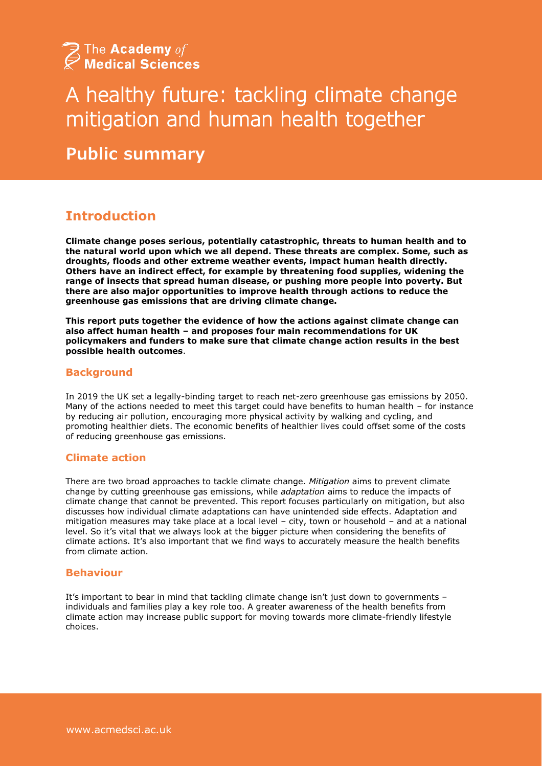

# A healthy future: tackling climate change mitigation and human health together

**Public summary**

## **Introduction**

**Climate change poses serious, potentially catastrophic, threats to human health and to the natural world upon which we all depend. These threats are complex. Some, such as droughts, floods and other extreme weather events, impact human health directly. Others have an indirect effect, for example by threatening food supplies, widening the range of insects that spread human disease, or pushing more people into poverty. But there are also major opportunities to improve health through actions to reduce the greenhouse gas emissions that are driving climate change.** 

**This report puts together the evidence of how the actions against climate change can also affect human health – and proposes four main recommendations for UK policymakers and funders to make sure that climate change action results in the best possible health outcomes**.

#### **Background**

In 2019 the UK set a legally-binding target to reach net-zero greenhouse gas emissions by 2050. Many of the actions needed to meet this target could have benefits to human health – for instance by reducing air pollution, encouraging more physical activity by walking and cycling, and promoting healthier diets. The economic benefits of healthier lives could offset some of the costs of reducing greenhouse gas emissions.

#### **Climate action**

There are two broad approaches to tackle climate change. *Mitigation* aims to prevent climate change by cutting greenhouse gas emissions, while *adaptation* aims to reduce the impacts of climate change that cannot be prevented. This report focuses particularly on mitigation, but also discusses how individual climate adaptations can have unintended side effects. Adaptation and mitigation measures may take place at a local level – city, town or household – and at a national level. So it's vital that we always look at the bigger picture when considering the benefits of climate actions. It's also important that we find ways to accurately measure the health benefits from climate action.

#### **Behaviour**

It's important to bear in mind that tackling climate change isn't just down to governments – individuals and families play a key role too. A greater awareness of the health benefits from climate action may increase public support for moving towards more climate-friendly lifestyle choices.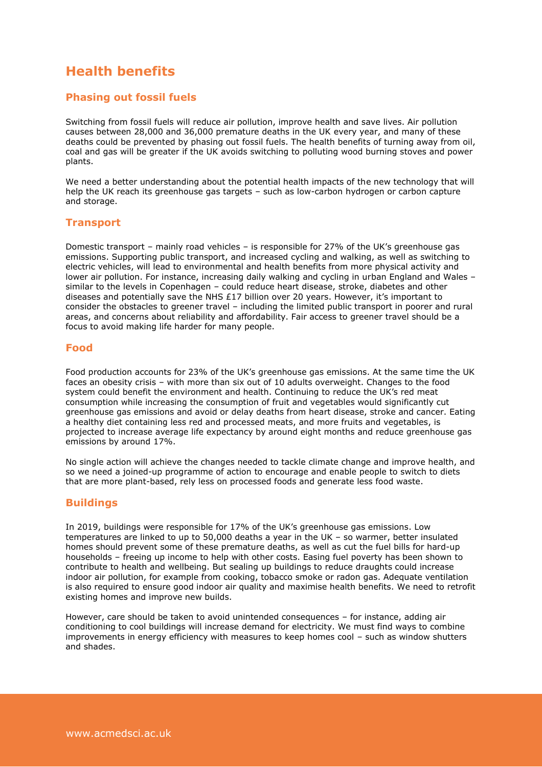## **Health benefits**

#### **Phasing out fossil fuels**

Switching from fossil fuels will reduce air pollution, improve health and save lives. Air pollution causes between 28,000 and 36,000 premature deaths in the UK every year, and many of these deaths could be prevented by phasing out fossil fuels. The health benefits of turning away from oil, coal and gas will be greater if the UK avoids switching to polluting wood burning stoves and power plants.

We need a better understanding about the potential health impacts of the new technology that will help the UK reach its greenhouse gas targets – such as low-carbon hydrogen or carbon capture and storage.

#### **Transport**

Domestic transport – mainly road vehicles – is responsible for 27% of the UK's greenhouse gas emissions. Supporting public transport, and increased cycling and walking, as well as switching to electric vehicles, will lead to environmental and health benefits from more physical activity and lower air pollution. For instance, increasing daily walking and cycling in urban England and Wales – similar to the levels in Copenhagen – could reduce heart disease, stroke, diabetes and other diseases and potentially save the NHS £17 billion over 20 years. However, it's important to consider the obstacles to greener travel – including the limited public transport in poorer and rural areas, and concerns about reliability and affordability. Fair access to greener travel should be a focus to avoid making life harder for many people.

#### **Food**

Food production accounts for 23% of the UK's greenhouse gas emissions. At the same time the UK faces an obesity crisis – with more than six out of 10 adults overweight. Changes to the food system could benefit the environment and health. Continuing to reduce the UK's red meat consumption while increasing the consumption of fruit and vegetables would significantly cut greenhouse gas emissions and avoid or delay deaths from heart disease, stroke and cancer. Eating a healthy diet containing less red and processed meats, and more fruits and vegetables, is projected to increase average life expectancy by around eight months and reduce greenhouse gas emissions by around 17%.

No single action will achieve the changes needed to tackle climate change and improve health, and so we need a joined-up programme of action to encourage and enable people to switch to diets that are more plant-based, rely less on processed foods and generate less food waste.

#### **Buildings**

In 2019, buildings were responsible for 17% of the UK's greenhouse gas emissions. Low temperatures are linked to up to 50,000 deaths a year in the UK – so warmer, better insulated homes should prevent some of these premature deaths, as well as cut the fuel bills for hard-up households – freeing up income to help with other costs. Easing fuel poverty has been shown to contribute to health and wellbeing. But sealing up buildings to reduce draughts could increase indoor air pollution, for example from cooking, tobacco smoke or radon gas. Adequate ventilation is also required to ensure good indoor air quality and maximise health benefits. We need to retrofit existing homes and improve new builds.

However, care should be taken to avoid unintended consequences – for instance, adding air conditioning to cool buildings will increase demand for electricity. We must find ways to combine improvements in energy efficiency with measures to keep homes cool – such as window shutters and shades.